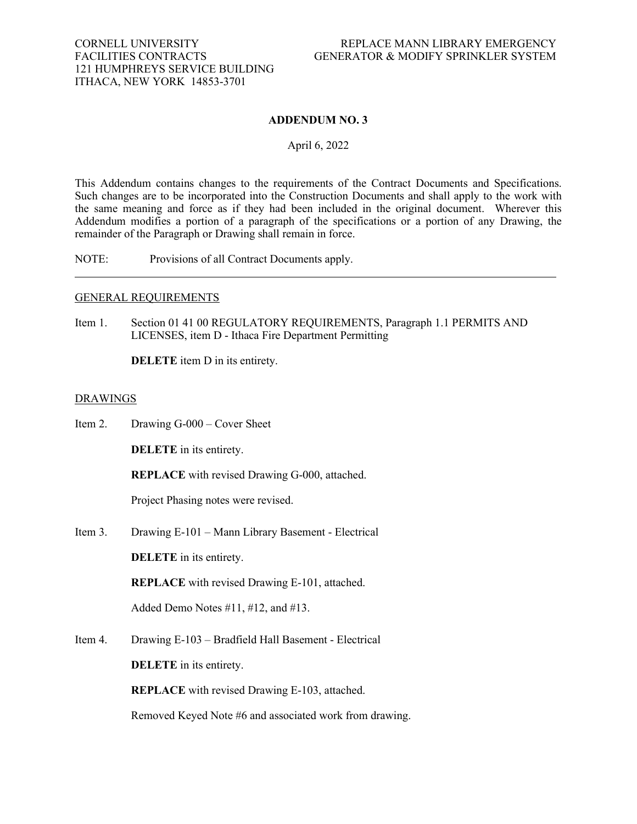## **ADDENDUM NO. 3**

#### April 6, 2022

This Addendum contains changes to the requirements of the Contract Documents and Specifications. Such changes are to be incorporated into the Construction Documents and shall apply to the work with the same meaning and force as if they had been included in the original document. Wherever this Addendum modifies a portion of a paragraph of the specifications or a portion of any Drawing, the remainder of the Paragraph or Drawing shall remain in force.

NOTE: Provisions of all Contract Documents apply.

### GENERAL REQUIREMENTS

Item 1. Section 01 41 00 REGULATORY REQUIREMENTS, Paragraph 1.1 PERMITS AND LICENSES, item D - Ithaca Fire Department Permitting

**DELETE** item D in its entirety.

#### DRAWINGS

Item 2. Drawing G-000 – Cover Sheet

**DELETE** in its entirety.

**REPLACE** with revised Drawing G-000, attached.

Project Phasing notes were revised.

Item 3. Drawing E-101 – Mann Library Basement - Electrical

**DELETE** in its entirety.

**REPLACE** with revised Drawing E-101, attached.

Added Demo Notes #11, #12, and #13.

Item 4. Drawing E-103 – Bradfield Hall Basement - Electrical **DELETE** in its entirety.

**REPLACE** with revised Drawing E-103, attached.

Removed Keyed Note #6 and associated work from drawing.